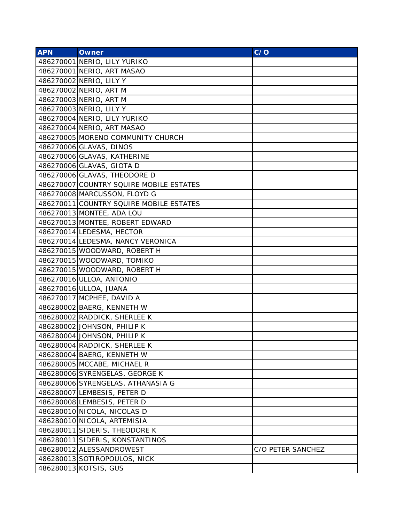| <b>APN</b> | <b>Owner</b>                            | C/O               |
|------------|-----------------------------------------|-------------------|
|            | 486270001 NERIO, LILY YURIKO            |                   |
|            | 486270001 NERIO, ART MASAO              |                   |
|            | 486270002 NERIO, LILY Y                 |                   |
|            | 486270002 NERIO, ART M                  |                   |
|            | 486270003 NERIO, ART M                  |                   |
|            | 486270003 NERIO, LILY Y                 |                   |
|            | 486270004 NERIO, LILY YURIKO            |                   |
|            | 486270004 NERIO, ART MASAO              |                   |
|            | 486270005 MORENO COMMUNITY CHURCH       |                   |
|            | 486270006 GLAVAS, DINOS                 |                   |
|            | 486270006 GLAVAS, KATHERINE             |                   |
|            | 486270006 GLAVAS, GIOTA D               |                   |
|            | 486270006 GLAVAS, THEODORE D            |                   |
|            | 486270007 COUNTRY SQUIRE MOBILE ESTATES |                   |
|            | 486270008 MARCUSSON, FLOYD G            |                   |
|            | 486270011 COUNTRY SQUIRE MOBILE ESTATES |                   |
|            | 486270013 MONTEE, ADA LOU               |                   |
|            | 486270013 MONTEE, ROBERT EDWARD         |                   |
|            | 486270014 LEDESMA, HECTOR               |                   |
|            | 486270014 LEDESMA, NANCY VERONICA       |                   |
|            | 486270015 WOODWARD, ROBERT H            |                   |
|            | 486270015 WOODWARD, TOMIKO              |                   |
|            | 486270015 WOODWARD, ROBERT H            |                   |
|            | 486270016 ULLOA, ANTONIO                |                   |
|            | 486270016 ULLOA, JUANA                  |                   |
|            | 486270017 MCPHEE, DAVID A               |                   |
|            | 486280002 BAERG, KENNETH W              |                   |
|            | 486280002 RADDICK, SHERLEE K            |                   |
|            | 486280002 JOHNSON, PHILIP K             |                   |
|            | 486280004 JOHNSON, PHILIP K             |                   |
|            | 486280004 RADDICK, SHERLEE K            |                   |
|            | 486280004 BAERG, KENNETH W              |                   |
|            | 486280005 MCCABE, MICHAEL R             |                   |
|            | 486280006 SYRENGELAS, GEORGE K          |                   |
|            | 486280006 SYRENGELAS, ATHANASIA G       |                   |
|            | 486280007 LEMBESIS, PETER D             |                   |
|            | 486280008 LEMBESIS, PETER D             |                   |
|            | 486280010 NICOLA, NICOLAS D             |                   |
|            | 486280010 NICOLA, ARTEMISIA             |                   |
|            | 486280011 SIDERIS, THEODORE K           |                   |
|            | 486280011 SIDERIS, KONSTANTINOS         |                   |
|            | 486280012 ALESSANDROWEST                | C/O PETER SANCHEZ |
|            | 486280013 SOTIROPOULOS, NICK            |                   |
|            | 486280013 KOTSIS, GUS                   |                   |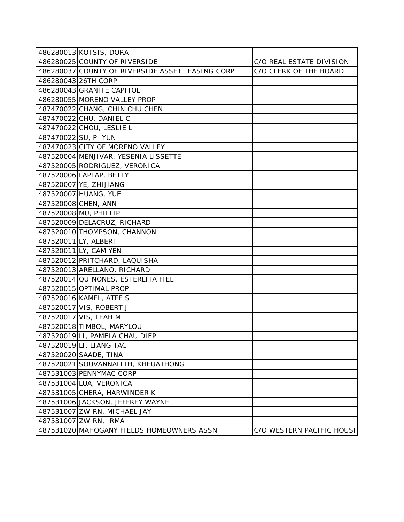|                      | 486280013 KOTSIS, DORA                           |                           |
|----------------------|--------------------------------------------------|---------------------------|
|                      | 486280025 COUNTY OF RIVERSIDE                    | C/O REAL ESTATE DIVISION  |
|                      | 486280037 COUNTY OF RIVERSIDE ASSET LEASING CORP | C/O CLERK OF THE BOARD    |
|                      | 486280043 26TH CORP                              |                           |
|                      | 486280043 GRANITE CAPITOL                        |                           |
|                      | 486280055 MORENO VALLEY PROP                     |                           |
|                      | 487470022 CHANG, CHIN CHU CHEN                   |                           |
|                      | 487470022 CHU, DANIEL C                          |                           |
|                      | 487470022 CHOU, LESLIE L                         |                           |
| 487470022 SU, PI YUN |                                                  |                           |
|                      | 487470023 CITY OF MORENO VALLEY                  |                           |
|                      | 487520004 MENJIVAR, YESENIA LISSETTE             |                           |
|                      | 487520005 RODRIGUEZ, VERONICA                    |                           |
|                      | 487520006 LAPLAP, BETTY                          |                           |
|                      | 487520007 YE, ZHIJIANG                           |                           |
|                      | 487520007 HUANG, YUE                             |                           |
| 487520008 CHEN, ANN  |                                                  |                           |
|                      | 487520008 MU, PHILLIP                            |                           |
|                      | 487520009 DELACRUZ, RICHARD                      |                           |
|                      | 487520010 THOMPSON, CHANNON                      |                           |
| 487520011 LY, ALBERT |                                                  |                           |
|                      | 487520011 LY, CAM YEN                            |                           |
|                      | 487520012 PRITCHARD, LAQUISHA                    |                           |
|                      | 487520013 ARELLANO, RICHARD                      |                           |
|                      | 487520014 QUINONES, ESTERLITA FIEL               |                           |
|                      | 487520015 OPTIMAL PROP                           |                           |
|                      | 487520016 KAMEL, ATEF S                          |                           |
|                      | 487520017 VIS, ROBERT J                          |                           |
|                      | 487520017 VIS, LEAH M                            |                           |
|                      | 487520018 TIMBOL, MARYLOU                        |                           |
|                      | 487520019LI, PAMELA CHAU DIEP                    |                           |
|                      | 487520019 LI, LIANG TAC                          |                           |
|                      | 487520020 SAADE, TINA                            |                           |
|                      | 487520021 SOUVANNALITH, KHEUATHONG               |                           |
|                      | 487531003 PENNYMAC CORP                          |                           |
|                      | 487531004 LUA, VERONICA                          |                           |
|                      | 487531005 CHERA, HARWINDER K                     |                           |
|                      | 487531006 JACKSON, JEFFREY WAYNE                 |                           |
|                      | 487531007 ZWIRN, MICHAEL JAY                     |                           |
|                      | 487531007 ZWIRN, IRMA                            |                           |
|                      | 487531020 MAHOGANY FIELDS HOMEOWNERS ASSN        | C/O WESTERN PACIFIC HOUSI |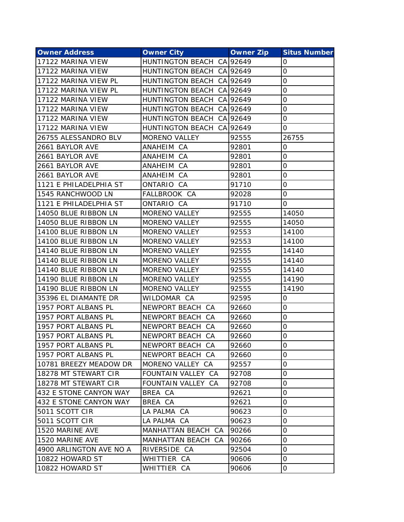| <b>Owner Address</b>    | <b>Owner City</b>         | <b>Owner Zip</b> | <b>Situs Number</b> |
|-------------------------|---------------------------|------------------|---------------------|
| 17122 MARINA VIEW       | HUNTINGTON BEACH CA 92649 |                  | 0                   |
| 17122 MARINA VIEW       | HUNTINGTON BEACH CA 92649 |                  | 0                   |
| 17122 MARINA VIEW PL    | HUNTINGTON BEACH CA 92649 |                  | 0                   |
| 17122 MARINA VIEW PL    | HUNTINGTON BEACH CA 92649 |                  | 0                   |
| 17122 MARINA VIEW       | HUNTINGTON BEACH CA 92649 |                  | 0                   |
| 17122 MARINA VIEW       | HUNTINGTON BEACH CA 92649 |                  | 0                   |
| 17122 MARINA VIEW       | HUNTINGTON BEACH CA 92649 |                  | 0                   |
| 17122 MARINA VIEW       | HUNTINGTON BEACH CA 92649 |                  | 0                   |
| 26755 ALESSANDRO BLV    | <b>MORENO VALLEY</b>      | 92555            | 26755               |
| 2661 BAYLOR AVE         | ANAHEIM CA                | 92801            | 0                   |
| 2661 BAYLOR AVE         | ANAHEIM CA                | 92801            | 0                   |
| 2661 BAYLOR AVE         | ANAHEIM CA                | 92801            | 0                   |
| 2661 BAYLOR AVE         | ANAHEIM CA                | 92801            | 0                   |
| 1121 E PHILADELPHIA ST  | ONTARIO CA                | 91710            | 0                   |
| 1545 RANCHWOOD LN       | FALLBROOK CA              | 92028            | 0                   |
| 1121 E PHILADELPHIA ST  | ONTARIO CA                | 91710            | 0                   |
| 14050 BLUE RIBBON LN    | <b>MORENO VALLEY</b>      | 92555            | 14050               |
| 14050 BLUE RIBBON LN    | <b>MORENO VALLEY</b>      | 92555            | 14050               |
| 14100 BLUE RIBBON LN    | <b>MORENO VALLEY</b>      | 92553            | 14100               |
| 14100 BLUE RIBBON LN    | <b>MORENO VALLEY</b>      | 92553            | 14100               |
| 14140 BLUE RIBBON LN    | <b>MORENO VALLEY</b>      | 92555            | 14140               |
| 14140 BLUE RIBBON LN    | <b>MORENO VALLEY</b>      | 92555            | 14140               |
| 14140 BLUE RIBBON LN    | <b>MORENO VALLEY</b>      | 92555            | 14140               |
| 14190 BLUE RIBBON LN    | <b>MORENO VALLEY</b>      | 92555            | 14190               |
| 14190 BLUE RIBBON LN    | <b>MORENO VALLEY</b>      | 92555            | 14190               |
| 35396 EL DIAMANTE DR    | WILDOMAR CA               | 92595            | 0                   |
| 1957 PORT ALBANS PL     | NEWPORT BEACH CA          | 92660            | 0                   |
| 1957 PORT ALBANS PL     | NEWPORT BEACH CA          | 92660            | 0                   |
| 1957 PORT ALBANS PL     | NEWPORT BEACH CA          | 92660            | 0                   |
| 1957 PORT ALBANS PL     | NEWPORT BEACH CA          | 92660            | 0                   |
| 1957 PORT ALBANS PL     | NEWPORT BEACH CA          | 92660            | Ő                   |
| 1957 PORT ALBANS PL     | NEWPORT BEACH CA          | 92660            | 0                   |
| 10781 BREEZY MEADOW DR  | MORENO VALLEY CA          | 92557            | 0                   |
| 18278 MT STEWART CIR    | FOUNTAIN VALLEY CA        | 92708            | 0                   |
| 18278 MT STEWART CIR    | FOUNTAIN VALLEY CA        | 92708            | 0                   |
| 432 E STONE CANYON WAY  | BREA CA                   | 92621            | 0                   |
| 432 E STONE CANYON WAY  | BREA CA                   | 92621            | 0                   |
| 5011 SCOTT CIR          | LA PALMA CA               | 90623            | 0                   |
| 5011 SCOTT CIR          | LA PALMA CA               | 90623            | 0                   |
| 1520 MARINE AVE         | MANHATTAN BEACH CA        | 90266            | 0                   |
| 1520 MARINE AVE         | MANHATTAN BEACH CA        | 90266            | 0                   |
| 4900 ARLINGTON AVE NO A | RIVERSIDE CA              | 92504            | 0                   |
| 10822 HOWARD ST         | WHITTIER CA               | 90606            | 0                   |
| 10822 HOWARD ST         | WHITTIER CA               | 90606            | 0                   |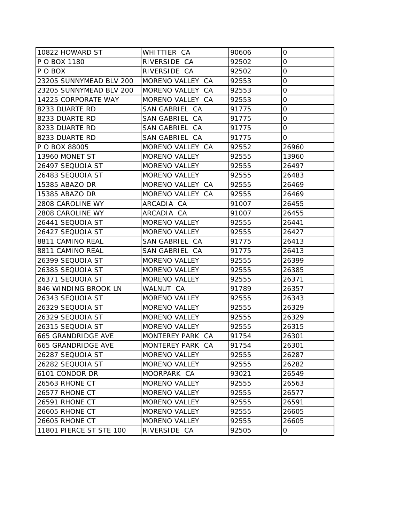| 10822 HOWARD ST         | WHITTIER CA          | 90606 | 0           |
|-------------------------|----------------------|-------|-------------|
| P O BOX 1180            | RIVERSIDE CA         | 92502 | 0           |
| P O BOX                 | RIVERSIDE CA         | 92502 | 0           |
| 23205 SUNNYMEAD BLV 200 | MORENO VALLEY CA     | 92553 | 0           |
| 23205 SUNNYMEAD BLV 200 | MORENO VALLEY CA     | 92553 | 0           |
| 14225 CORPORATE WAY     | MORENO VALLEY CA     | 92553 | $\mathbf 0$ |
| 8233 DUARTE RD          | SAN GABRIEL CA       | 91775 | 0           |
| 8233 DUARTE RD          | SAN GABRIEL CA       | 91775 | 0           |
| 8233 DUARTE RD          | SAN GABRIEL CA       | 91775 | 0           |
| 8233 DUARTE RD          | SAN GABRIEL CA       | 91775 | 0           |
| P O BOX 88005           | MORENO VALLEY CA     | 92552 | 26960       |
| 13960 MONET ST          | MORENO VALLEY        | 92555 | 13960       |
| 26497 SEQUOIA ST        | <b>MORENO VALLEY</b> | 92555 | 26497       |
| 26483 SEQUOIA ST        | <b>MORENO VALLEY</b> | 92555 | 26483       |
| 15385 ABAZO DR          | MORENO VALLEY CA     | 92555 | 26469       |
| 15385 ABAZO DR          | MORENO VALLEY CA     | 92555 | 26469       |
| 2808 CAROLINE WY        | ARCADIA CA           | 91007 | 26455       |
| 2808 CAROLINE WY        | ARCADIA CA           | 91007 | 26455       |
| 26441 SEQUOIA ST        | MORENO VALLEY        | 92555 | 26441       |
| 26427 SEQUOIA ST        | <b>MORENO VALLEY</b> | 92555 | 26427       |
| 8811 CAMINO REAL        | SAN GABRIEL CA       | 91775 | 26413       |
| 8811 CAMINO REAL        | SAN GABRIEL CA       | 91775 | 26413       |
| 26399 SEQUOIA ST        | <b>MORENO VALLEY</b> | 92555 | 26399       |
| 26385 SEQUOIA ST        | <b>MORENO VALLEY</b> | 92555 | 26385       |
| 26371 SEQUOIA ST        | <b>MORENO VALLEY</b> | 92555 | 26371       |
| 846 WINDING BROOK LN    | WALNUT CA            | 91789 | 26357       |
| 26343 SEQUOIA ST        | <b>MORENO VALLEY</b> | 92555 | 26343       |
| 26329 SEQUOIA ST        | <b>MORENO VALLEY</b> | 92555 | 26329       |
| 26329 SEQUOIA ST        | <b>MORENO VALLEY</b> | 92555 | 26329       |
| 26315 SEQUOIA ST        | <b>MORENO VALLEY</b> | 92555 | 26315       |
| 665 GRANDRIDGE AVE      | MONTEREY PARK CA     | 91754 | 26301       |
| 1665 GRANDRIDGE AVE     | MONTEREY PARK CA     | 91754 | 26301       |
| 26287 SEQUOIA ST        | <b>MORENO VALLEY</b> | 92555 | 26287       |
| 26282 SEQUOIA ST        | <b>MORENO VALLEY</b> | 92555 | 26282       |
| 6101 CONDOR DR          | MOORPARK CA          | 93021 | 26549       |
| 26563 RHONE CT          | <b>MORENO VALLEY</b> | 92555 | 26563       |
| 26577 RHONE CT          | <b>MORENO VALLEY</b> | 92555 | 26577       |
| 26591 RHONE CT          | MORENO VALLEY        | 92555 | 26591       |
| <b>26605 RHONE CT</b>   | MORENO VALLEY        | 92555 | 26605       |
| 26605 RHONE CT          | MORENO VALLEY        | 92555 | 26605       |
| 11801 PIERCE ST STE 100 | RIVERSIDE CA         | 92505 | 0           |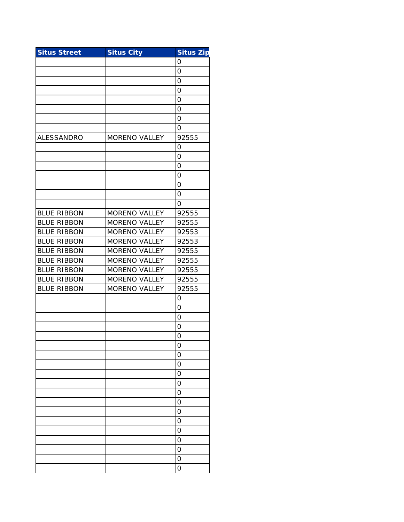| <b>Situs Street</b> | <b>Situs City</b>    | <b>Situs Zip</b> |
|---------------------|----------------------|------------------|
|                     |                      | 0                |
|                     |                      | $\overline{O}$   |
|                     |                      | 0                |
|                     |                      | 0                |
|                     |                      | 0                |
|                     |                      | 0                |
|                     |                      | 0                |
|                     |                      | 0                |
| ALESSANDRO          | MORENO VALLEY        | 92555            |
|                     |                      | 0                |
|                     |                      | $\overline{O}$   |
|                     |                      | $\overline{O}$   |
|                     |                      | 0                |
|                     |                      | $\overline{O}$   |
|                     |                      | 0                |
|                     |                      | 0                |
| <b>BLUE RIBBON</b>  | <b>MORENO VALLEY</b> | 92555            |
| <b>BLUE RIBBON</b>  | <b>MORENO VALLEY</b> | 92555            |
| <b>BLUE RIBBON</b>  | MORENO VALLEY        | 92553            |
| <b>BLUE RIBBON</b>  | <b>MORENO VALLEY</b> | 92553            |
| <b>BLUE RIBBON</b>  | <b>MORENO VALLEY</b> | 92555            |
| <b>BLUE RIBBON</b>  | <b>MORENO VALLEY</b> | 92555            |
| <b>BLUE RIBBON</b>  | <b>MORENO VALLEY</b> | 92555            |
| <b>BLUE RIBBON</b>  | <b>MORENO VALLEY</b> | 92555            |
| <b>BLUE RIBBON</b>  | <b>MORENO VALLEY</b> | 92555            |
|                     |                      | 0                |
|                     |                      | $\overline{O}$   |
|                     |                      | $\overline{O}$   |
|                     |                      | 0                |
|                     |                      | 0                |
|                     |                      | 0                |
|                     |                      | $\overline{O}$   |
|                     |                      | O                |
|                     |                      | 0                |
|                     |                      | 0                |
|                     |                      | 0                |
|                     |                      | O                |
|                     |                      | O                |
|                     |                      | 0                |
|                     |                      | 0                |
|                     |                      | $\overline{O}$   |
|                     |                      | $\overline{O}$   |
|                     |                      | 0                |
|                     |                      | 0                |